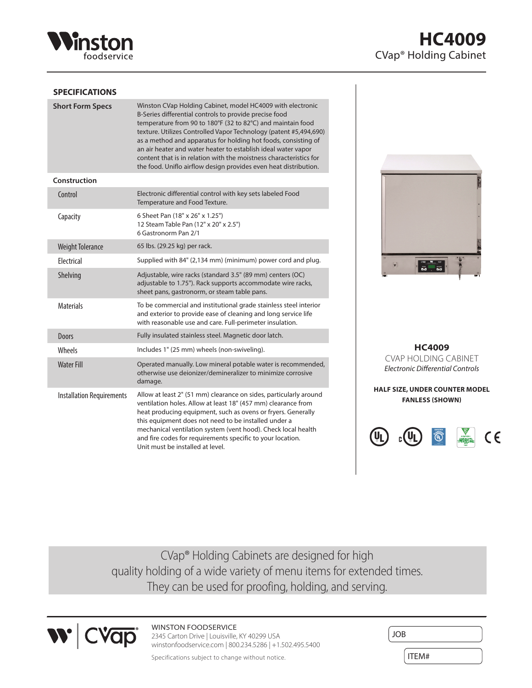

### **SPECIFICATIONS**

| <b>Short Form Specs</b>          | Winston CVap Holding Cabinet, model HC4009 with electronic<br>B-Series differential controls to provide precise food<br>temperature from 90 to 180°F (32 to 82°C) and maintain food<br>texture. Utilizes Controlled Vapor Technology (patent #5,494,690)<br>as a method and apparatus for holding hot foods, consisting of<br>an air heater and water heater to establish ideal water vapor<br>content that is in relation with the moistness characteristics for<br>the food. Uniflo airflow design provides even heat distribution. |
|----------------------------------|---------------------------------------------------------------------------------------------------------------------------------------------------------------------------------------------------------------------------------------------------------------------------------------------------------------------------------------------------------------------------------------------------------------------------------------------------------------------------------------------------------------------------------------|
| Construction                     |                                                                                                                                                                                                                                                                                                                                                                                                                                                                                                                                       |
| Control                          | Electronic differential control with key sets labeled Food<br>Temperature and Food Texture.                                                                                                                                                                                                                                                                                                                                                                                                                                           |
| Capacity                         | 6 Sheet Pan (18" x 26" x 1.25")<br>12 Steam Table Pan (12" x 20" x 2.5")<br>6 Gastronorm Pan 2/1                                                                                                                                                                                                                                                                                                                                                                                                                                      |
| <b>Weight Tolerance</b>          | 65 lbs. (29.25 kg) per rack.                                                                                                                                                                                                                                                                                                                                                                                                                                                                                                          |
| Electrical                       | Supplied with 84" (2,134 mm) (minimum) power cord and plug.                                                                                                                                                                                                                                                                                                                                                                                                                                                                           |
| Shelving                         | Adjustable, wire racks (standard 3.5" (89 mm) centers (OC)<br>adjustable to 1.75"). Rack supports accommodate wire racks,<br>sheet pans, gastronorm, or steam table pans.                                                                                                                                                                                                                                                                                                                                                             |
| <b>Materials</b>                 | To be commercial and institutional grade stainless steel interior<br>and exterior to provide ease of cleaning and long service life<br>with reasonable use and care. Full-perimeter insulation.                                                                                                                                                                                                                                                                                                                                       |
| <b>Doors</b>                     | Fully insulated stainless steel. Magnetic door latch.                                                                                                                                                                                                                                                                                                                                                                                                                                                                                 |
| <b>Wheels</b>                    | Includes 1" (25 mm) wheels (non-swiveling).                                                                                                                                                                                                                                                                                                                                                                                                                                                                                           |
| <b>Water Fill</b>                | Operated manually. Low mineral potable water is recommended,<br>otherwise use deionizer/demineralizer to minimize corrosive<br>damage.                                                                                                                                                                                                                                                                                                                                                                                                |
| <b>Installation Requirements</b> | Allow at least 2" (51 mm) clearance on sides, particularly around<br>ventilation holes. Allow at least 18" (457 mm) clearance from<br>heat producing equipment, such as ovens or fryers. Generally<br>this equipment does not need to be installed under a<br>mechanical ventilation system (vent hood). Check local health<br>and fire codes for requirements specific to your location.<br>Unit must be installed at level.                                                                                                         |



**HC4009** CVAP HOLDING CABINET *Electronic Differential Controls*

**HALF SIZE, UNDER COUNTER MODEL FANLESS (SHOWN)**



CVap® Holding Cabinets are designed for high quality holding of a wide variety of menu items for extended times. They can be used for proofing, holding, and serving.



### WINSTON FOODSERVICE

2345 Carton Drive | Louisville, KY 40299 USA winstonfoodservice.com | 800.234.5286 | +1.502.495.5400

Specifications subject to change without notice.

| <b>JOB</b> |  |
|------------|--|
| ITEM#      |  |

# **HC4009** CVap® Holding Cabinet